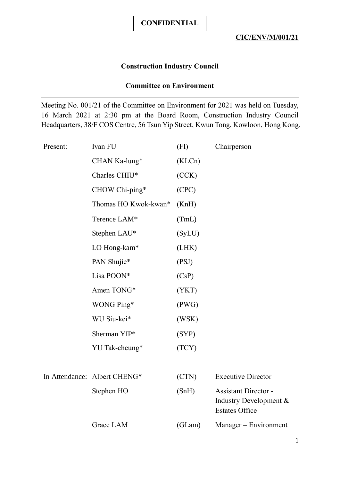## **Construction Industry Council**

## **Committee on Environment**

Meeting No. 001/21 of the Committee on Environment for 2021 was held on Tuesday, 16 March 2021 at 2:30 pm at the Board Room, Construction Industry Council Headquarters, 38/F COS Centre, 56 Tsun Yip Street, Kwun Tong, Kowloon, Hong Kong.

| Present: | Ivan FU                      | (FI)   | Chairperson                                                                    |
|----------|------------------------------|--------|--------------------------------------------------------------------------------|
|          | CHAN Ka-lung*                | (KLCn) |                                                                                |
|          | Charles CHIU*                | (CCK)  |                                                                                |
|          | CHOW Chi-ping*               | (CPC)  |                                                                                |
|          | Thomas HO Kwok-kwan*         | (KnH)  |                                                                                |
|          | Terence LAM*                 | (TmL)  |                                                                                |
|          | Stephen LAU*                 | (SyLU) |                                                                                |
|          | LO Hong-kam*                 | (LHK)  |                                                                                |
|          | PAN Shujie*                  | (PSJ)  |                                                                                |
|          | Lisa POON*                   | (CsP)  |                                                                                |
|          | Amen TONG*                   | (YKT)  |                                                                                |
|          | WONG Ping*                   | (PWG)  |                                                                                |
|          | WU Siu-kei*                  | (WSK)  |                                                                                |
|          | Sherman YIP*                 | (SYP)  |                                                                                |
|          | YU Tak-cheung*               | (TCY)  |                                                                                |
|          |                              |        |                                                                                |
|          | In Attendance: Albert CHENG* | (CTN)  | <b>Executive Director</b>                                                      |
|          | Stephen HO                   | (SnH)  | <b>Assistant Director -</b><br>Industry Development &<br><b>Estates Office</b> |
|          | Grace LAM                    | (GLam) | Manager – Environment                                                          |
|          |                              |        |                                                                                |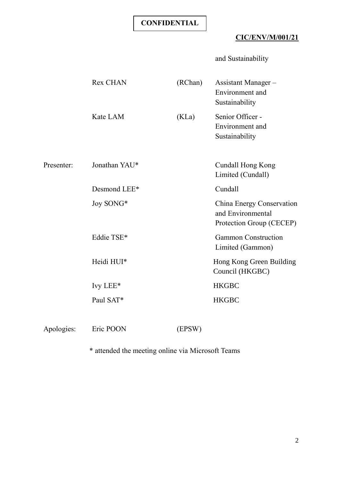# **CIC/ENV/M/001/21**

and Sustainability

|            | <b>Rex CHAN</b> | (RChan) | Assistant Manager-<br>Environment and<br>Sustainability                    |
|------------|-----------------|---------|----------------------------------------------------------------------------|
|            | Kate LAM        | (KLa)   | Senior Officer -<br>Environment and<br>Sustainability                      |
| Presenter: | Jonathan YAU*   |         | Cundall Hong Kong<br>Limited (Cundall)                                     |
|            | Desmond LEE*    |         | Cundall                                                                    |
|            | Joy SONG*       |         | China Energy Conservation<br>and Environmental<br>Protection Group (CECEP) |
|            | Eddie TSE*      |         | <b>Gammon Construction</b><br>Limited (Gammon)                             |
|            | Heidi HUI*      |         | Hong Kong Green Building<br>Council (HKGBC)                                |
|            | Ivy LEE*        |         | <b>HKGBC</b>                                                               |
|            | Paul SAT*       |         | <b>HKGBC</b>                                                               |
| Apologies: | Eric POON       | (EPSW)  |                                                                            |

\* attended the meeting online via Microsoft Teams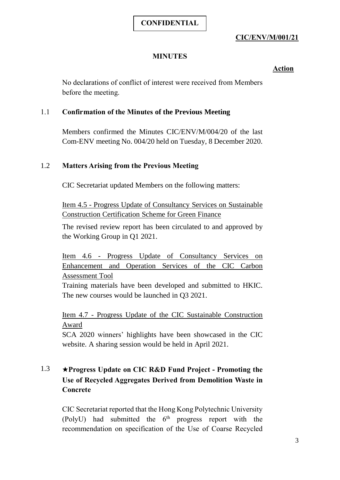## **CIC/ENV/M/001/21**

## **MINUTES**

## **Action**

No declarations of conflict of interest were received from Members before the meeting.

#### 1.1 **Confirmation of the Minutes of the Previous Meeting**

Members confirmed the Minutes CIC/ENV/M/004/20 of the last Com-ENV meeting No. 004/20 held on Tuesday, 8 December 2020.

## 1.2 **Matters Arising from the Previous Meeting**

CIC Secretariat updated Members on the following matters:

Item 4.5 - Progress Update of Consultancy Services on Sustainable Construction Certification Scheme for Green Finance

The revised review report has been circulated to and approved by the Working Group in Q1 2021.

Item 4.6 - Progress Update of Consultancy Services on Enhancement and Operation Services of the CIC Carbon Assessment Tool

Training materials have been developed and submitted to HKIC. The new courses would be launched in Q3 2021.

Item 4.7 - Progress Update of the CIC Sustainable Construction Award

SCA 2020 winners' highlights have been showcased in the CIC website. A sharing session would be held in April 2021.

# 1.3 ★**Progress Update on CIC R&D Fund Project - Promoting the Use of Recycled Aggregates Derived from Demolition Waste in Concrete**

CIC Secretariat reported that the Hong Kong Polytechnic University (PolyU) had submitted the  $6<sup>th</sup>$  progress report with the recommendation on specification of the Use of Coarse Recycled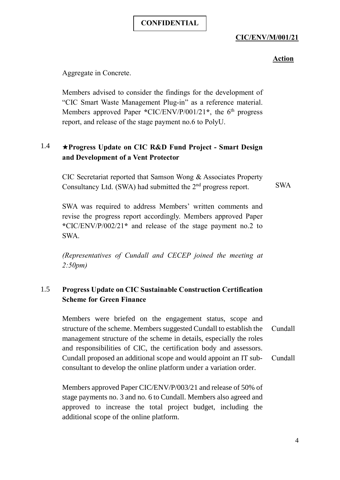## **CIC/ENV/M/001/21**

#### **Action**

Aggregate in Concrete.

Members advised to consider the findings for the development of "CIC Smart Waste Management Plug-in" as a reference material. Members approved Paper **\***CIC/ENV/P/001/21**\***, the 6 th progress report, and release of the stage payment no.6 to PolyU.

## 1.4 ★**Progress Update on CIC R&D Fund Project - Smart Design and Development of a Vent Protector**

CIC Secretariat reported that Samson Wong & Associates Property Consultancy Ltd. (SWA) had submitted the  $2<sup>nd</sup>$  progress report.

SWA

SWA was required to address Members' written comments and revise the progress report accordingly. Members approved Paper **\***CIC/ENV/P/002/21**\*** and release of the stage payment no.2 to SWA.

*(Representatives of Cundall and CECEP joined the meeting at 2:50pm)*

## 1.5 **Progress Update on CIC Sustainable Construction Certification Scheme for Green Finance**

Members were briefed on the engagement status, scope and structure of the scheme. Members suggested Cundall to establish the management structure of the scheme in details, especially the roles and responsibilities of CIC, the certification body and assessors. Cundall proposed an additional scope and would appoint an IT subconsultant to develop the online platform under a variation order. Cundall Cundall

Members approved Paper CIC/ENV/P/003/21 and release of 50% of stage payments no. 3 and no. 6 to Cundall. Members also agreed and approved to increase the total project budget, including the additional scope of the online platform.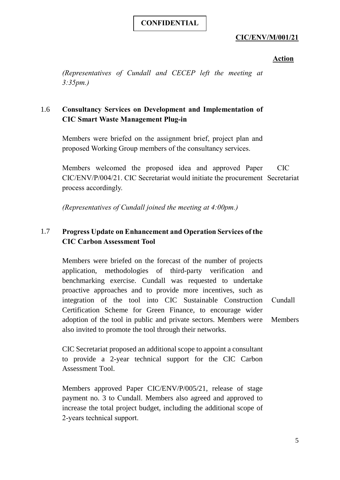## **CIC/ENV/M/001/21**

#### **Action**

*(Representatives of Cundall and CECEP left the meeting at 3:35pm.)*

## 1.6 **Consultancy Services on Development and Implementation of CIC Smart Waste Management Plug-in**

Members were briefed on the assignment brief, project plan and proposed Working Group members of the consultancy services.

Members welcomed the proposed idea and approved Paper CIC/ENV/P/004/21. CIC Secretariat would initiate the procurement Secretariat process accordingly. CIC

*(Representatives of Cundall joined the meeting at 4:00pm.)*

## 1.7 **Progress Update on Enhancement and Operation Services of the CIC Carbon Assessment Tool**

Members were briefed on the forecast of the number of projects application, methodologies of third-party verification and benchmarking exercise. Cundall was requested to undertake proactive approaches and to provide more incentives, such as integration of the tool into CIC Sustainable Construction Certification Scheme for Green Finance, to encourage wider adoption of the tool in public and private sectors. Members were also invited to promote the tool through their networks. Cundall **Members** 

CIC Secretariat proposed an additional scope to appoint a consultant to provide a 2-year technical support for the CIC Carbon Assessment Tool.

Members approved Paper CIC/ENV/P/005/21, release of stage payment no. 3 to Cundall. Members also agreed and approved to increase the total project budget, including the additional scope of 2-years technical support.